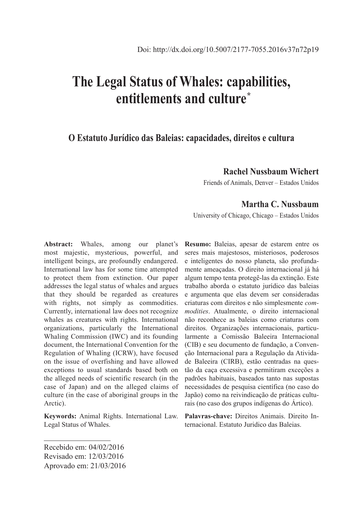# **The Legal Status of Whales: capabilities, entitlements and culture** *\**

## **O Estatuto Jurídico das Baleias: capacidades, direitos e cultura**

### **Rachel Nussbaum Wichert**

Friends of Animals, Denver – Estados Unidos

#### **Martha C. Nussbaum**

University of Chicago, Chicago – Estados Unidos

**Abstract:** Whales, among our planet's most majestic, mysterious, powerful, and intelligent beings, are profoundly endangered. International law has for some time attempted to protect them from extinction. Our paper addresses the legal status of whales and argues that they should be regarded as creatures with rights, not simply as commodities. Currently, international law does not recognize whales as creatures with rights. International organizations, particularly the International Whaling Commission (IWC) and its founding document, the International Convention for the Regulation of Whaling (ICRW), have focused on the issue of overfishing and have allowed exceptions to usual standards based both on the alleged needs of scientific research (in the case of Japan) and on the alleged claims of culture (in the case of aboriginal groups in the Arctic).

**Keywords:** Animal Rights. International Law. Legal Status of Whales.

**Palavras-chave:** Direitos Animais. Direito Internacional. Estatuto Juridico das Baleias.

**Resumo:** Baleias, apesar de estarem entre os seres mais majestosos, misteriosos, poderosos e inteligentes do nosso planeta, são profundamente ameaçadas. O direito internacional já há algum tempo tenta protegê-las da extinção. Este trabalho aborda o estatuto jurídico das baleias e argumenta que elas devem ser consideradas criaturas com direitos e não simplesmente *commodities*. Atualmente, o direito internacional não reconhece as baleias como criaturas com direitos. Organizações internacionais, particularmente a Comissão Baleeira Internacional (CIB) e seu documento de fundação, a Convenção Internacional para a Regulação da Atividade Baleeira (CIRB), estão centradas na questão da caça excessiva e permitiram exceções a padrões habituais, baseados tanto nas supostas necessidades de pesquisa científica (no caso do Japão) como na reivindicação de práticas culturais (no caso dos grupos indígenas do Ártico).

Recebido em: 04/02/2016 Revisado em: 12/03/2016 Aprovado em: 21/03/2016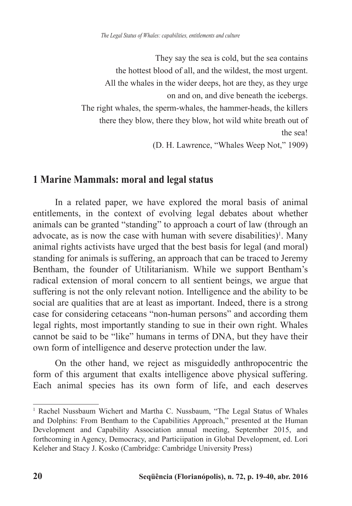They say the sea is cold, but the sea contains the hottest blood of all, and the wildest, the most urgent. All the whales in the wider deeps, hot are they, as they urge on and on, and dive beneath the icebergs. The right whales, the sperm-whales, the hammer-heads, the killers there they blow, there they blow, hot wild white breath out of the sea! (D. H. Lawrence, "Whales Weep Not," 1909)

## **1 Marine Mammals: moral and legal status**

In a related paper, we have explored the moral basis of animal entitlements, in the context of evolving legal debates about whether animals can be granted "standing" to approach a court of law (through an advocate, as is now the case with human with severe disabilities)<sup>1</sup>. Many animal rights activists have urged that the best basis for legal (and moral) standing for animals is suffering, an approach that can be traced to Jeremy Bentham, the founder of Utilitarianism. While we support Bentham's radical extension of moral concern to all sentient beings, we argue that suffering is not the only relevant notion. Intelligence and the ability to be social are qualities that are at least as important. Indeed, there is a strong case for considering cetaceans "non-human persons" and according them legal rights, most importantly standing to sue in their own right. Whales cannot be said to be "like" humans in terms of DNA, but they have their own form of intelligence and deserve protection under the law.

On the other hand, we reject as misguidedly anthropocentric the form of this argument that exalts intelligence above physical suffering. Each animal species has its own form of life, and each deserves

<sup>&</sup>lt;sup>1</sup> Rachel Nussbaum Wichert and Martha C. Nussbaum, "The Legal Status of Whales and Dolphins: From Bentham to the Capabilities Approach," presented at the Human Development and Capability Association annual meeting, September 2015, and forthcoming in Agency, Democracy, and Particiipation in Global Development, ed. Lori Keleher and Stacy J. Kosko (Cambridge: Cambridge University Press)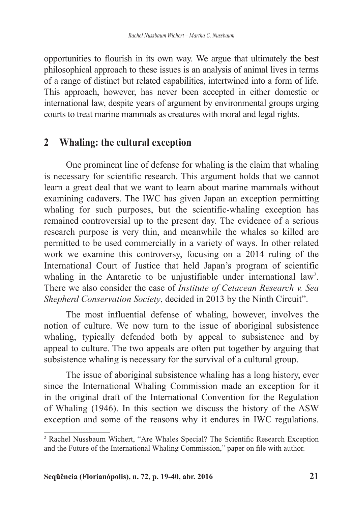opportunities to flourish in its own way. We argue that ultimately the best philosophical approach to these issues is an analysis of animal lives in terms of a range of distinct but related capabilities, intertwined into a form of life. This approach, however, has never been accepted in either domestic or international law, despite years of argument by environmental groups urging courts to treat marine mammals as creatures with moral and legal rights.

# **2 Whaling: the cultural exception**

One prominent line of defense for whaling is the claim that whaling is necessary for scientific research. This argument holds that we cannot learn a great deal that we want to learn about marine mammals without examining cadavers. The IWC has given Japan an exception permitting whaling for such purposes, but the scientific-whaling exception has remained controversial up to the present day. The evidence of a serious research purpose is very thin, and meanwhile the whales so killed are permitted to be used commercially in a variety of ways. In other related work we examine this controversy, focusing on a 2014 ruling of the International Court of Justice that held Japan's program of scientific whaling in the Antarctic to be unjustifiable under international law<sup>2</sup>. There we also consider the case of *Institute of Cetacean Research v. Sea Shepherd Conservation Society*, decided in 2013 by the Ninth Circuit".

The most influential defense of whaling, however, involves the notion of culture. We now turn to the issue of aboriginal subsistence whaling, typically defended both by appeal to subsistence and by appeal to culture. The two appeals are often put together by arguing that subsistence whaling is necessary for the survival of a cultural group.

The issue of aboriginal subsistence whaling has a long history, ever since the International Whaling Commission made an exception for it in the original draft of the International Convention for the Regulation of Whaling (1946). In this section we discuss the history of the ASW exception and some of the reasons why it endures in IWC regulations.

<sup>&</sup>lt;sup>2</sup> Rachel Nussbaum Wichert, "Are Whales Special? The Scientific Research Exception and the Future of the International Whaling Commission," paper on file with author.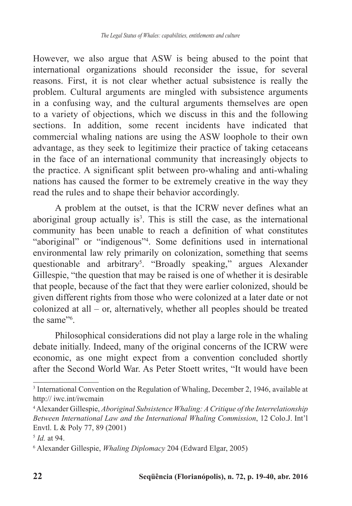However, we also argue that ASW is being abused to the point that international organizations should reconsider the issue, for several reasons. First, it is not clear whether actual subsistence is really the problem. Cultural arguments are mingled with subsistence arguments in a confusing way, and the cultural arguments themselves are open to a variety of objections, which we discuss in this and the following sections. In addition, some recent incidents have indicated that commercial whaling nations are using the ASW loophole to their own advantage, as they seek to legitimize their practice of taking cetaceans in the face of an international community that increasingly objects to the practice. A significant split between pro-whaling and anti-whaling nations has caused the former to be extremely creative in the way they read the rules and to shape their behavior accordingly.

A problem at the outset, is that the ICRW never defines what an aboriginal group actually is<sup>3</sup>. This is still the case, as the international community has been unable to reach a definition of what constitutes "aboriginal" or "indigenous"<sup>4</sup>. Some definitions used in international environmental law rely primarily on colonization, something that seems questionable and arbitrary<sup>5</sup>. "Broadly speaking," argues Alexander Gillespie, "the question that may be raised is one of whether it is desirable that people, because of the fact that they were earlier colonized, should be given different rights from those who were colonized at a later date or not colonized at all – or, alternatively, whether all peoples should be treated the same"<sup>6</sup>.

Philosophical considerations did not play a large role in the whaling debate initially. Indeed, many of the original concerns of the ICRW were economic, as one might expect from a convention concluded shortly after the Second World War. As Peter Stoett writes, "It would have been

<sup>3</sup> International Convention on the Regulation of Whaling, December 2, 1946, available at http:// iwc.int/iwcmain

<sup>4</sup> Alexander Gillespie, *Aboriginal Subsistence Whaling: A Critique of the Interrelationship Between International Law and the International Whaling Commission*, 12 Colo.J. Int'l Envtl. L & Poly 77, 89 (2001)

<sup>5</sup> *Id.* at 94.

<sup>6</sup> Alexander Gillespie, *Whaling Diplomacy* 204 (Edward Elgar, 2005)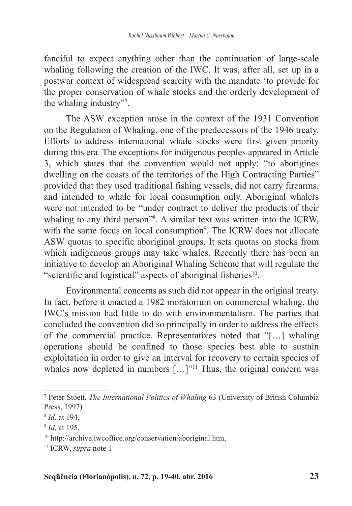fanciful to expect anything other than the continuation of large-scale whaling following the creation of the IWC. It was, after all, set up in a postwar context of widespread scarcity with the mandate 'to provide for the proper conservation of whale stocks and the orderly development of the whaling industry"7 .

The ASW exception arose in the context of the 1931 Convention on the Regulation of Whaling, one of the predecessors of the 1946 treaty. Efforts to address international whale stocks were first given priority during this era. The exceptions for indigenous peoples appeared in Article 3, which states that the convention would not apply: "to aborigines dwelling on the coasts of the territories of the High Contracting Parties" provided that they used traditional fishing vessels, did not carry firearms, and intended to whale for local consumption only. Aboriginal whalers were not intended to be "under contract to deliver the products of their whaling to any third person<sup>38</sup>. A similar text was written into the ICRW, with the same focus on local consumption<sup>9</sup>. The ICRW does not allocate ASW quotas to specific aboriginal groups. It sets quotas on stocks from which indigenous groups may take whales. Recently there has been an initiative to develop an Aboriginal Whaling Scheme that will regulate the "scientific and logistical" aspects of aboriginal fisheries<sup>10</sup>.

Environmental concerns as such did not appear in the original treaty. In fact, before it enacted a 1982 moratorium on commercial whaling, the IWC's mission had little to do with environmentalism. The parties that concluded the convention did so principally in order to address the effects of the commercial practice. Representatives noted that "[…] whaling operations should be confined to those species best able to sustain exploitation in order to give an interval for recovery to certain species of whales now depleted in numbers  $[...]^{v_{11}}$  Thus, the original concern was

<sup>7</sup> Peter Stoett, *The International Politics of Whaling* 63 (University of British Columbia Press, 1997)

<sup>8</sup> *Id*. at 194.

<sup>9</sup> *Id*. at 195.

 $10$  http://archive.iwcoffice.org/conservation/aboriginal.htm,

<sup>11</sup> ICRW, *supra* note 1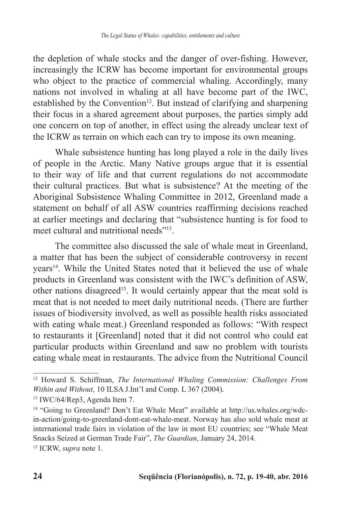the depletion of whale stocks and the danger of over-fishing. However, increasingly the ICRW has become important for environmental groups who object to the practice of commercial whaling. Accordingly, many nations not involved in whaling at all have become part of the IWC, established by the Convention<sup>12</sup>. But instead of clarifying and sharpening their focus in a shared agreement about purposes, the parties simply add one concern on top of another, in effect using the already unclear text of the ICRW as terrain on which each can try to impose its own meaning.

Whale subsistence hunting has long played a role in the daily lives of people in the Arctic. Many Native groups argue that it is essential to their way of life and that current regulations do not accommodate their cultural practices. But what is subsistence? At the meeting of the Aboriginal Subsistence Whaling Committee in 2012, Greenland made a statement on behalf of all ASW countries reaffirming decisions reached at earlier meetings and declaring that "subsistence hunting is for food to meet cultural and nutritional needs"<sup>13</sup>

The committee also discussed the sale of whale meat in Greenland, a matter that has been the subject of considerable controversy in recent years<sup>14</sup>. While the United States noted that it believed the use of whale products in Greenland was consistent with the IWC's definition of ASW, other nations disagreed<sup>15</sup>. It would certainly appear that the meat sold is meat that is not needed to meet daily nutritional needs. (There are further issues of biodiversity involved, as well as possible health risks associated with eating whale meat.) Greenland responded as follows: "With respect to restaurants it [Greenland] noted that it did not control who could eat particular products within Greenland and saw no problem with tourists eating whale meat in restaurants. The advice from the Nutritional Council

<sup>12</sup> Howard S. Schiffman, *The International Whaling Commission: Challenges From Within and Without*, 10 ILSA J.Int'l and Comp. L 367 (2004).

<sup>13</sup> IWC/64/Rep3, Agenda Item 7.

<sup>&</sup>lt;sup>14</sup> "Going to Greenland? Don't Eat Whale Meat" available at http://us.whales.org/wdcin-action/going-to-greenland-dont-eat-whale-meat. Norway has also sold whale meat at international trade fairs in violation of the law in most EU countries; see "Whale Meat Snacks Seized at German Trade Fair", *The Guardian*, January 24, 2014.

<sup>15</sup> ICRW, *supra* note 1.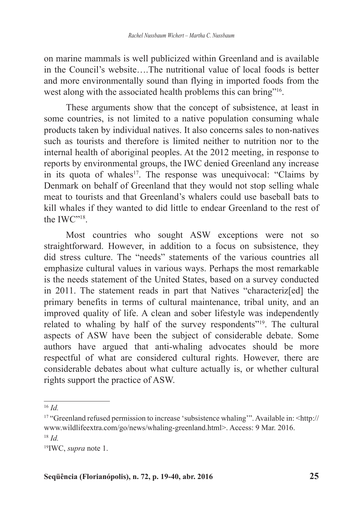on marine mammals is well publicized within Greenland and is available in the Council's website — The nutritional value of local foods is better and more environmentally sound than flying in imported foods from the west along with the associated health problems this can bring"<sup>16</sup>.

These arguments show that the concept of subsistence, at least in some countries, is not limited to a native population consuming whale products taken by individual natives. It also concerns sales to non-natives such as tourists and therefore is limited neither to nutrition nor to the internal health of aboriginal peoples. At the 2012 meeting, in response to reports by environmental groups, the IWC denied Greenland any increase in its quota of whales<sup>17</sup>. The response was unequivocal: "Claims by Denmark on behalf of Greenland that they would not stop selling whale meat to tourists and that Greenland's whalers could use baseball bats to kill whales if they wanted to did little to endear Greenland to the rest of the IWC"18.

Most countries who sought ASW exceptions were not so straightforward. However, in addition to a focus on subsistence, they did stress culture. The "needs" statements of the various countries all emphasize cultural values in various ways. Perhaps the most remarkable is the needs statement of the United States, based on a survey conducted in 2011. The statement reads in part that Natives "characteriz[ed] the primary benefits in terms of cultural maintenance, tribal unity, and an improved quality of life. A clean and sober lifestyle was independently related to whaling by half of the survey respondents"<sup>19</sup>. The cultural aspects of ASW have been the subject of considerable debate. Some authors have argued that anti-whaling advocates should be more respectful of what are considered cultural rights. However, there are considerable debates about what culture actually is, or whether cultural rights support the practice of ASW.

<sup>16</sup> *Id.*

<sup>17 &</sup>quot;Greenland refused permission to increase 'subsistence whaling'". Available in: <http:// www.wildlifeextra.com/go/news/whaling-greenland.html>. Access: 9 Mar. 2016. <sup>18</sup> *Id.*

<sup>19</sup>IWC, *supra* note 1.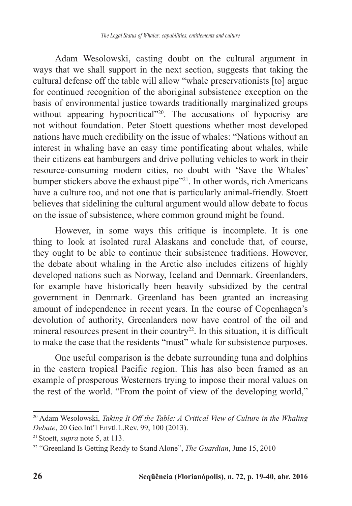Adam Wesolowski, casting doubt on the cultural argument in ways that we shall support in the next section, suggests that taking the cultural defense off the table will allow "whale preservationists [to] argue for continued recognition of the aboriginal subsistence exception on the basis of environmental justice towards traditionally marginalized groups without appearing hypocritical"<sup>20</sup>. The accusations of hypocrisy are not without foundation. Peter Stoett questions whether most developed nations have much credibility on the issue of whales: "Nations without an interest in whaling have an easy time pontificating about whales, while their citizens eat hamburgers and drive polluting vehicles to work in their resource-consuming modern cities, no doubt with 'Save the Whales' bumper stickers above the exhaust pipe"<sup>21</sup>. In other words, rich Americans have a culture too, and not one that is particularly animal-friendly. Stoett believes that sidelining the cultural argument would allow debate to focus on the issue of subsistence, where common ground might be found.

However, in some ways this critique is incomplete. It is one thing to look at isolated rural Alaskans and conclude that, of course, they ought to be able to continue their subsistence traditions. However, the debate about whaling in the Arctic also includes citizens of highly developed nations such as Norway, Iceland and Denmark. Greenlanders, for example have historically been heavily subsidized by the central government in Denmark. Greenland has been granted an increasing amount of independence in recent years. In the course of Copenhagen's devolution of authority, Greenlanders now have control of the oil and mineral resources present in their country $^{22}$ . In this situation, it is difficult to make the case that the residents "must" whale for subsistence purposes.

One useful comparison is the debate surrounding tuna and dolphins in the eastern tropical Pacific region. This has also been framed as an example of prosperous Westerners trying to impose their moral values on the rest of the world. "From the point of view of the developing world,"

<sup>20</sup> Adam Wesolowski, *Taking It Off the Table: A Critical View of Culture in the Whaling Debate*, 20 Geo.Int'l Envtl.L.Rev. 99, 100 (2013).

<sup>21</sup> Stoett, *supra* note 5, at 113.

<sup>22 &</sup>quot;Greenland Is Getting Ready to Stand Alone", *The Guardian*, June 15, 2010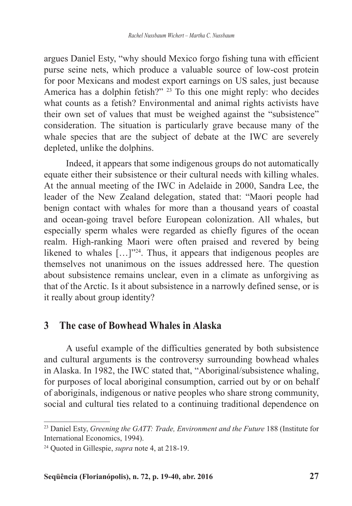argues Daniel Esty, "why should Mexico forgo fishing tuna with efficient purse seine nets, which produce a valuable source of low-cost protein for poor Mexicans and modest export earnings on US sales, just because America has a dolphin fetish?" 23 To this one might reply: who decides what counts as a fetish? Environmental and animal rights activists have their own set of values that must be weighed against the "subsistence" consideration. The situation is particularly grave because many of the whale species that are the subject of debate at the IWC are severely depleted, unlike the dolphins.

Indeed, it appears that some indigenous groups do not automatically equate either their subsistence or their cultural needs with killing whales. At the annual meeting of the IWC in Adelaide in 2000, Sandra Lee, the leader of the New Zealand delegation, stated that: "Maori people had benign contact with whales for more than a thousand years of coastal and ocean-going travel before European colonization. All whales, but especially sperm whales were regarded as chiefly figures of the ocean realm. High-ranking Maori were often praised and revered by being likened to whales […]"24. Thus, it appears that indigenous peoples are themselves not unanimous on the issues addressed here. The question about subsistence remains unclear, even in a climate as unforgiving as that of the Arctic. Is it about subsistence in a narrowly defined sense, or is it really about group identity?

# **3 The case of Bowhead Whales in Alaska**

A useful example of the difficulties generated by both subsistence and cultural arguments is the controversy surrounding bowhead whales in Alaska. In 1982, the IWC stated that, "Aboriginal/subsistence whaling, for purposes of local aboriginal consumption, carried out by or on behalf of aboriginals, indigenous or native peoples who share strong community, social and cultural ties related to a continuing traditional dependence on

<sup>23</sup> Daniel Esty, *Greening the GATT: Trade, Environment and the Future* 188 (Institute for International Economics, 1994).

<sup>24</sup> Quoted in Gillespie, *supra* note 4, at 218-19.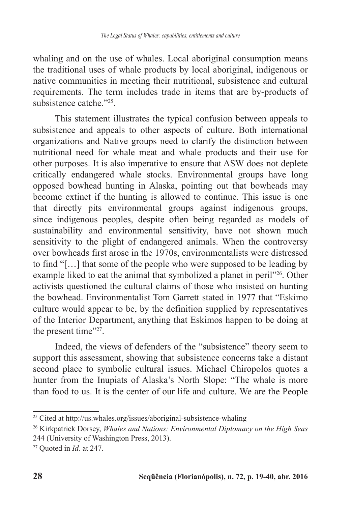whaling and on the use of whales. Local aboriginal consumption means the traditional uses of whale products by local aboriginal, indigenous or native communities in meeting their nutritional, subsistence and cultural requirements. The term includes trade in items that are by-products of subsistence catche  $"25"$ 

This statement illustrates the typical confusion between appeals to subsistence and appeals to other aspects of culture. Both international organizations and Native groups need to clarify the distinction between nutritional need for whale meat and whale products and their use for other purposes. It is also imperative to ensure that ASW does not deplete critically endangered whale stocks. Environmental groups have long opposed bowhead hunting in Alaska, pointing out that bowheads may become extinct if the hunting is allowed to continue. This issue is one that directly pits environmental groups against indigenous groups, since indigenous peoples, despite often being regarded as models of sustainability and environmental sensitivity, have not shown much sensitivity to the plight of endangered animals. When the controversy over bowheads first arose in the 1970s, environmentalists were distressed to find "[…] that some of the people who were supposed to be leading by example liked to eat the animal that symbolized a planet in peril<sup>126</sup>. Other activists questioned the cultural claims of those who insisted on hunting the bowhead. Environmentalist Tom Garrett stated in 1977 that "Eskimo culture would appear to be, by the definition supplied by representatives of the Interior Department, anything that Eskimos happen to be doing at the present time"<sup>27</sup>.

Indeed, the views of defenders of the "subsistence" theory seem to support this assessment, showing that subsistence concerns take a distant second place to symbolic cultural issues. Michael Chiropolos quotes a hunter from the Inupiats of Alaska's North Slope: "The whale is more than food to us. It is the center of our life and culture. We are the People

<sup>25</sup> Cited at http://us.whales.org/issues/aboriginal-subsistence-whaling

<sup>26</sup> Kirkpatrick Dorsey, *Whales and Nations: Environmental Diplomacy on the High Seas*  244 (University of Washington Press, 2013).

<sup>27</sup> Quoted in *Id.* at 247.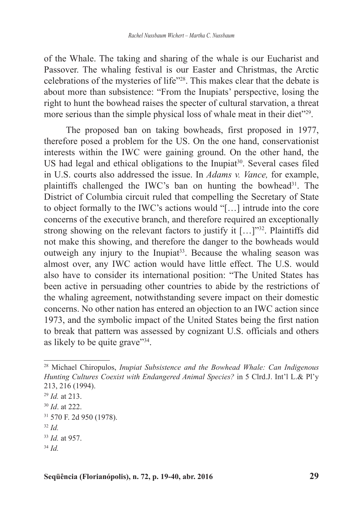of the Whale. The taking and sharing of the whale is our Eucharist and Passover. The whaling festival is our Easter and Christmas, the Arctic celebrations of the mysteries of life"28. This makes clear that the debate is about more than subsistence: "From the Inupiats' perspective, losing the right to hunt the bowhead raises the specter of cultural starvation, a threat more serious than the simple physical loss of whale meat in their diet<sup>729</sup>.

The proposed ban on taking bowheads, first proposed in 1977, therefore posed a problem for the US. On the one hand, conservationist interests within the IWC were gaining ground. On the other hand, the US had legal and ethical obligations to the Inupiat<sup>30</sup>. Several cases filed in U.S. courts also addressed the issue. In *Adams v. Vance,* for example, plaintiffs challenged the IWC's ban on hunting the bowhead $31$ . The District of Columbia circuit ruled that compelling the Secretary of State to object formally to the IWC's actions would "[…] intrude into the core concerns of the executive branch, and therefore required an exceptionally strong showing on the relevant factors to justify it […]"32. Plaintiffs did not make this showing, and therefore the danger to the bowheads would outweigh any injury to the Inupiat<sup>33</sup>. Because the whaling season was almost over, any IWC action would have little effect. The U.S. would also have to consider its international position: "The United States has been active in persuading other countries to abide by the restrictions of the whaling agreement, notwithstanding severe impact on their domestic concerns. No other nation has entered an objection to an IWC action since 1973, and the symbolic impact of the United States being the first nation to break that pattern was assessed by cognizant U.S. officials and others as likely to be quite grave"34.

<sup>28</sup> Michael Chiropulos, *Inupiat Subsistence and the Bowhead Whale: Can Indigenous Hunting Cultures Coexist with Endangered Animal Species?* in 5 Clrd.J. Int'l L.& Pl'y 213, 216 (1994).

<sup>29</sup> *Id.* at 213.

<sup>30</sup> *Id*. at 222.

<sup>31 570</sup> F. 2d 950 (1978).

<sup>32</sup> *Id.*

<sup>33</sup> *Id.* at 957.

<sup>34</sup> *Id.*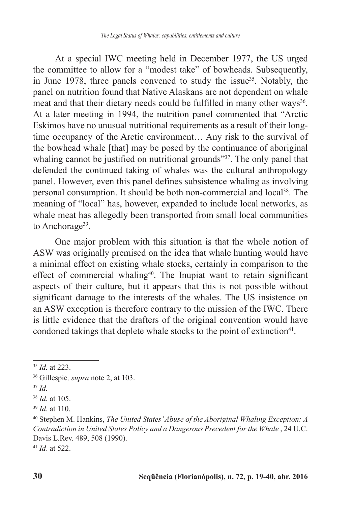At a special IWC meeting held in December 1977, the US urged the committee to allow for a "modest take" of bowheads. Subsequently, in June 1978, three panels convened to study the issue<sup>35</sup>. Notably, the panel on nutrition found that Native Alaskans are not dependent on whale meat and that their dietary needs could be fulfilled in many other ways<sup>36</sup>. At a later meeting in 1994, the nutrition panel commented that "Arctic Eskimos have no unusual nutritional requirements as a result of their longtime occupancy of the Arctic environment… Any risk to the survival of the bowhead whale [that] may be posed by the continuance of aboriginal whaling cannot be justified on nutritional grounds"<sup>37</sup>. The only panel that defended the continued taking of whales was the cultural anthropology panel. However, even this panel defines subsistence whaling as involving personal consumption. It should be both non-commercial and local 38. The meaning of "local" has, however, expanded to include local networks, as whale meat has allegedly been transported from small local communities to Anchorage<sup>39</sup>.

One major problem with this situation is that the whole notion of ASW was originally premised on the idea that whale hunting would have a minimal effect on existing whale stocks, certainly in comparison to the effect of commercial whaling<sup>40</sup>. The Inupiat want to retain significant aspects of their culture, but it appears that this is not possible without significant damage to the interests of the whales. The US insistence on an ASW exception is therefore contrary to the mission of the IWC. There is little evidence that the drafters of the original convention would have condoned takings that deplete whale stocks to the point of extinction<sup>41</sup>.

<sup>35</sup> *Id.* at 223.

<sup>36</sup> Gillespie*, supra* note 2, at 103.

<sup>37</sup> *Id.*

<sup>38</sup> *Id.* at 105.

<sup>39</sup> *Id.* at 110.

<sup>40</sup> Stephen M. Hankins, *The United States' Abuse of the Aboriginal Whaling Exception: A Contradiction in United States Policy and a Dangerous Precedent for the Whale* , 24 U.C. Davis L.Rev. 489, 508 (1990).

<sup>41</sup> *Id*. at 522.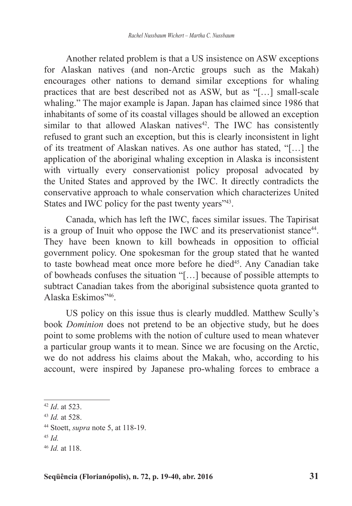Another related problem is that a US insistence on ASW exceptions for Alaskan natives (and non-Arctic groups such as the Makah) encourages other nations to demand similar exceptions for whaling practices that are best described not as ASW, but as "[…] small-scale whaling." The major example is Japan. Japan has claimed since 1986 that inhabitants of some of its coastal villages should be allowed an exception similar to that allowed Alaskan natives<sup>42</sup>. The IWC has consistently refused to grant such an exception, but this is clearly inconsistent in light of its treatment of Alaskan natives. As one author has stated, "[…] the application of the aboriginal whaling exception in Alaska is inconsistent with virtually every conservationist policy proposal advocated by the United States and approved by the IWC. It directly contradicts the conservative approach to whale conservation which characterizes United States and IWC policy for the past twenty years<sup>"43</sup>.

Canada, which has left the IWC, faces similar issues. The Tapirisat is a group of Inuit who oppose the IWC and its preservationist stance<sup>44</sup>. They have been known to kill bowheads in opposition to official government policy. One spokesman for the group stated that he wanted to taste bowhead meat once more before he died<sup>45</sup>. Any Canadian take of bowheads confuses the situation "[…] because of possible attempts to subtract Canadian takes from the aboriginal subsistence quota granted to Alaska Eskimos"46.

US policy on this issue thus is clearly muddled. Matthew Scully's book *Dominion* does not pretend to be an objective study, but he does point to some problems with the notion of culture used to mean whatever a particular group wants it to mean. Since we are focusing on the Arctic, we do not address his claims about the Makah, who, according to his account, were inspired by Japanese pro-whaling forces to embrace a

<sup>42</sup> *Id*. at 523.

<sup>43</sup> *Id.* at 528.

<sup>44</sup> Stoett, *supra* note 5, at 118-19.

<sup>45</sup> *Id.*

<sup>46</sup> *Id.* at 118.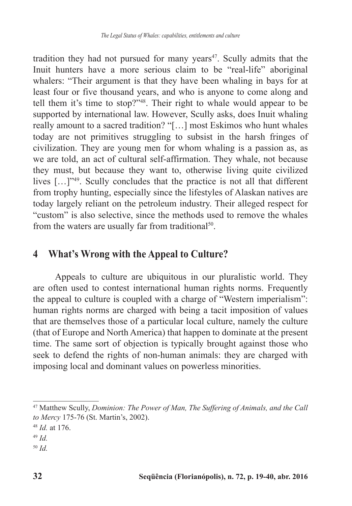tradition they had not pursued for many years<sup>47</sup>. Scully admits that the Inuit hunters have a more serious claim to be "real-life" aboriginal whalers: "Their argument is that they have been whaling in bays for at least four or five thousand years, and who is anyone to come along and tell them it's time to stop?"48. Their right to whale would appear to be supported by international law. However, Scully asks, does Inuit whaling really amount to a sacred tradition? "[…] most Eskimos who hunt whales today are not primitives struggling to subsist in the harsh fringes of civilization. They are young men for whom whaling is a passion as, as we are told, an act of cultural self-affirmation. They whale, not because they must, but because they want to, otherwise living quite civilized lives […]"49. Scully concludes that the practice is not all that different from trophy hunting, especially since the lifestyles of Alaskan natives are today largely reliant on the petroleum industry. Their alleged respect for "custom" is also selective, since the methods used to remove the whales from the waters are usually far from traditional<sup>50</sup>.

# **4 What's Wrong with the Appeal to Culture?**

Appeals to culture are ubiquitous in our pluralistic world. They are often used to contest international human rights norms. Frequently the appeal to culture is coupled with a charge of "Western imperialism": human rights norms are charged with being a tacit imposition of values that are themselves those of a particular local culture, namely the culture (that of Europe and North America) that happen to dominate at the present time. The same sort of objection is typically brought against those who seek to defend the rights of non-human animals: they are charged with imposing local and dominant values on powerless minorities.

<sup>50</sup> *Id.*

<sup>47</sup> Matthew Scully, *Dominion: The Power of Man, The Suffering of Animals, and the Call to Mercy* 175-76 (St. Martin's, 2002).

<sup>48</sup> *Id.* at 176.

<sup>49</sup> *Id.*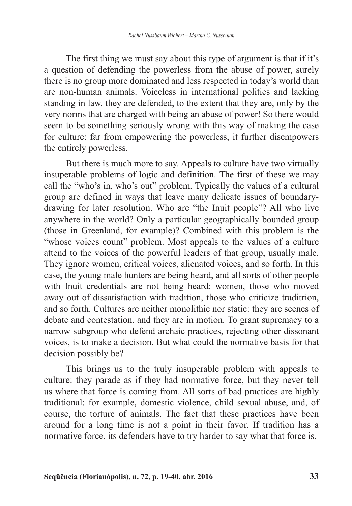The first thing we must say about this type of argument is that if it's a question of defending the powerless from the abuse of power, surely there is no group more dominated and less respected in today's world than are non-human animals. Voiceless in international politics and lacking standing in law, they are defended, to the extent that they are, only by the very norms that are charged with being an abuse of power! So there would seem to be something seriously wrong with this way of making the case for culture: far from empowering the powerless, it further disempowers the entirely powerless.

But there is much more to say. Appeals to culture have two virtually insuperable problems of logic and definition. The first of these we may call the "who's in, who's out" problem. Typically the values of a cultural group are defined in ways that leave many delicate issues of boundarydrawing for later resolution. Who are "the Inuit people"? All who live anywhere in the world? Only a particular geographically bounded group (those in Greenland, for example)? Combined with this problem is the "whose voices count" problem. Most appeals to the values of a culture attend to the voices of the powerful leaders of that group, usually male. They ignore women, critical voices, alienated voices, and so forth. In this case, the young male hunters are being heard, and all sorts of other people with Inuit credentials are not being heard: women, those who moved away out of dissatisfaction with tradition, those who criticize traditrion, and so forth. Cultures are neither monolithic nor static: they are scenes of debate and contestation, and they are in motion. To grant supremacy to a narrow subgroup who defend archaic practices, rejecting other dissonant voices, is to make a decision. But what could the normative basis for that decision possibly be?

This brings us to the truly insuperable problem with appeals to culture: they parade as if they had normative force, but they never tell us where that force is coming from. All sorts of bad practices are highly traditional: for example, domestic violence, child sexual abuse, and, of course, the torture of animals. The fact that these practices have been around for a long time is not a point in their favor. If tradition has a normative force, its defenders have to try harder to say what that force is.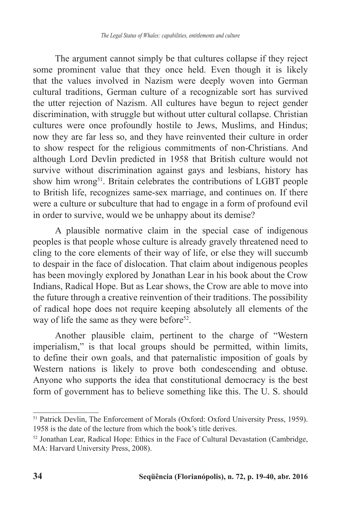The argument cannot simply be that cultures collapse if they reject some prominent value that they once held. Even though it is likely that the values involved in Nazism were deeply woven into German cultural traditions, German culture of a recognizable sort has survived the utter rejection of Nazism. All cultures have begun to reject gender discrimination, with struggle but without utter cultural collapse. Christian cultures were once profoundly hostile to Jews, Muslims, and Hindus; now they are far less so, and they have reinvented their culture in order to show respect for the religious commitments of non-Christians. And although Lord Devlin predicted in 1958 that British culture would not survive without discrimination against gays and lesbians, history has show him wrong<sup>51</sup>. Britain celebrates the contributions of LGBT people to British life, recognizes same-sex marriage, and continues on. If there were a culture or subculture that had to engage in a form of profound evil in order to survive, would we be unhappy about its demise?

A plausible normative claim in the special case of indigenous peoples is that people whose culture is already gravely threatened need to cling to the core elements of their way of life, or else they will succumb to despair in the face of dislocation. That claim about indigenous peoples has been movingly explored by Jonathan Lear in his book about the Crow Indians, Radical Hope. But as Lear shows, the Crow are able to move into the future through a creative reinvention of their traditions. The possibility of radical hope does not require keeping absolutely all elements of the way of life the same as they were before<sup>52</sup>.

Another plausible claim, pertinent to the charge of "Western imperialism," is that local groups should be permitted, within limits, to define their own goals, and that paternalistic imposition of goals by Western nations is likely to prove both condescending and obtuse. Anyone who supports the idea that constitutional democracy is the best form of government has to believe something like this. The U. S. should

<sup>51</sup> Patrick Devlin, The Enforcement of Morals (Oxford: Oxford University Press, 1959). 1958 is the date of the lecture from which the book's title derives.

<sup>52</sup> Jonathan Lear, Radical Hope: Ethics in the Face of Cultural Devastation (Cambridge, MA: Harvard University Press, 2008).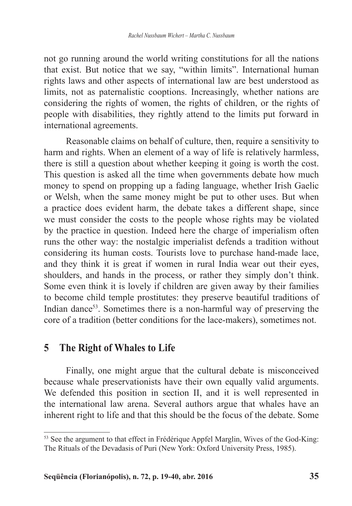not go running around the world writing constitutions for all the nations that exist. But notice that we say, "within limits". International human rights laws and other aspects of international law are best understood as limits, not as paternalistic cooptions. Increasingly, whether nations are considering the rights of women, the rights of children, or the rights of people with disabilities, they rightly attend to the limits put forward in international agreements.

Reasonable claims on behalf of culture, then, require a sensitivity to harm and rights. When an element of a way of life is relatively harmless, there is still a question about whether keeping it going is worth the cost. This question is asked all the time when governments debate how much money to spend on propping up a fading language, whether Irish Gaelic or Welsh, when the same money might be put to other uses. But when a practice does evident harm, the debate takes a different shape, since we must consider the costs to the people whose rights may be violated by the practice in question. Indeed here the charge of imperialism often runs the other way: the nostalgic imperialist defends a tradition without considering its human costs. Tourists love to purchase hand-made lace, and they think it is great if women in rural India wear out their eyes, shoulders, and hands in the process, or rather they simply don't think. Some even think it is lovely if children are given away by their families to become child temple prostitutes: they preserve beautiful traditions of Indian dance<sup>53</sup>. Sometimes there is a non-harmful way of preserving the core of a tradition (better conditions for the lace-makers), sometimes not.

# **5 The Right of Whales to Life**

Finally, one might argue that the cultural debate is misconceived because whale preservationists have their own equally valid arguments. We defended this position in section II, and it is well represented in the international law arena. Several authors argue that whales have an inherent right to life and that this should be the focus of the debate. Some

<sup>&</sup>lt;sup>53</sup> See the argument to that effect in Frédérique Appfel Marglin, Wives of the God-King: The Rituals of the Devadasis of Puri (New York: Oxford University Press, 1985).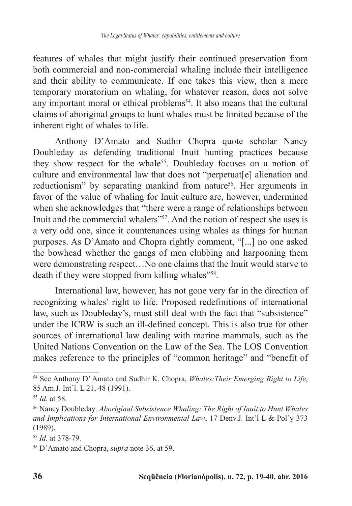features of whales that might justify their continued preservation from both commercial and non-commercial whaling include their intelligence and their ability to communicate. If one takes this view, then a mere temporary moratorium on whaling, for whatever reason, does not solve any important moral or ethical problems<sup>54</sup>. It also means that the cultural claims of aboriginal groups to hunt whales must be limited because of the inherent right of whales to life.

Anthony D'Amato and Sudhir Chopra quote scholar Nancy Doubleday as defending traditional Inuit hunting practices because they show respect for the whale<sup>55</sup>. Doubleday focuses on a notion of culture and environmental law that does not "perpetuat[e] alienation and reductionism" by separating mankind from nature<sup>56</sup>. Her arguments in favor of the value of whaling for Inuit culture are, however, undermined when she acknowledges that "there were a range of relationships between Inuit and the commercial whalers"<sup>57</sup>. And the notion of respect she uses is a very odd one, since it countenances using whales as things for human purposes. As D'Amato and Chopra rightly comment, "[...] no one asked the bowhead whether the gangs of men clubbing and harpooning them were demonstrating respect…No one claims that the Inuit would starve to death if they were stopped from killing whales"<sup>58</sup>.

International law, however, has not gone very far in the direction of recognizing whales' right to life. Proposed redefinitions of international law, such as Doubleday's, must still deal with the fact that "subsistence" under the ICRW is such an ill-defined concept. This is also true for other sources of international law dealing with marine mammals, such as the United Nations Convention on the Law of the Sea. The LOS Convention makes reference to the principles of "common heritage" and "benefit of

<sup>54</sup> See Anthony D' Amato and Sudhir K. Chopra, *Whales:Their Emerging Right to Life*, 85 Am.J. Int'l. L 21, 48 (1991).

<sup>55</sup> *Id*. at 58.

<sup>56</sup> Nancy Doubleday*, Aboriginal Subsistence Whaling: The Right of Inuit to Hunt Whales and Implications for International Environmental Law*, 17 Denv.J. Int'l L & Pol'y 373 (1989).

<sup>57</sup> *Id.* at 378-79.

<sup>58</sup> D'Amato and Chopra, *supra* note 36, at 59.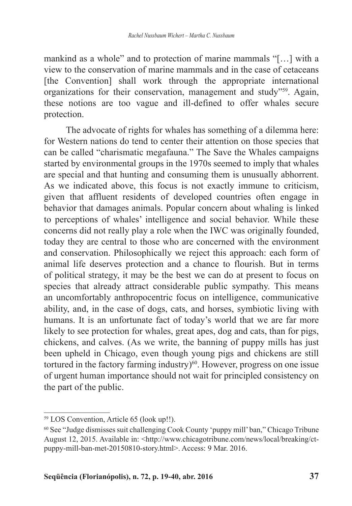mankind as a whole" and to protection of marine mammals "[…] with a view to the conservation of marine mammals and in the case of cetaceans [the Convention] shall work through the appropriate international organizations for their conservation, management and study"59. Again, these notions are too vague and ill-defined to offer whales secure protection.

The advocate of rights for whales has something of a dilemma here: for Western nations do tend to center their attention on those species that can be called "charismatic megafauna." The Save the Whales campaigns started by environmental groups in the 1970s seemed to imply that whales are special and that hunting and consuming them is unusually abhorrent. As we indicated above, this focus is not exactly immune to criticism, given that affluent residents of developed countries often engage in behavior that damages animals. Popular concern about whaling is linked to perceptions of whales' intelligence and social behavior. While these concerns did not really play a role when the IWC was originally founded, today they are central to those who are concerned with the environment and conservation. Philosophically we reject this approach: each form of animal life deserves protection and a chance to flourish. But in terms of political strategy, it may be the best we can do at present to focus on species that already attract considerable public sympathy. This means an uncomfortably anthropocentric focus on intelligence, communicative ability, and, in the case of dogs, cats, and horses, symbiotic living with humans. It is an unfortunate fact of today's world that we are far more likely to see protection for whales, great apes, dog and cats, than for pigs, chickens, and calves. (As we write, the banning of puppy mills has just been upheld in Chicago, even though young pigs and chickens are still tortured in the factory farming industry $60$ . However, progress on one issue of urgent human importance should not wait for principled consistency on the part of the public.

<sup>59</sup> LOS Convention, Article 65 (look up!!).

<sup>60</sup> See "Judge dismisses suit challenging Cook County 'puppy mill' ban," Chicago Tribune August 12, 2015. Available in: <http://www.chicagotribune.com/news/local/breaking/ctpuppy-mill-ban-met-20150810-story.html>. Access: 9 Mar. 2016.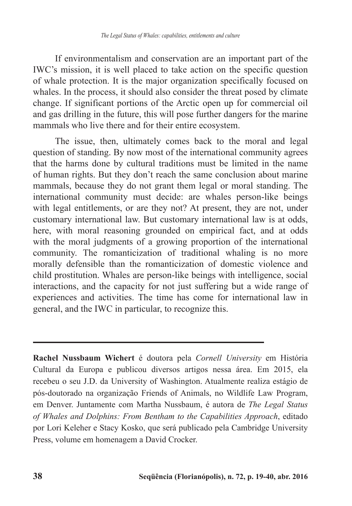If environmentalism and conservation are an important part of the IWC's mission, it is well placed to take action on the specific question of whale protection. It is the major organization specifically focused on whales. In the process, it should also consider the threat posed by climate change. If significant portions of the Arctic open up for commercial oil and gas drilling in the future, this will pose further dangers for the marine mammals who live there and for their entire ecosystem.

The issue, then, ultimately comes back to the moral and legal question of standing. By now most of the international community agrees that the harms done by cultural traditions must be limited in the name of human rights. But they don't reach the same conclusion about marine mammals, because they do not grant them legal or moral standing. The international community must decide: are whales person-like beings with legal entitlements, or are they not? At present, they are not, under customary international law. But customary international law is at odds, here, with moral reasoning grounded on empirical fact, and at odds with the moral judgments of a growing proportion of the international community. The romanticization of traditional whaling is no more morally defensible than the romanticization of domestic violence and child prostitution. Whales are person-like beings with intelligence, social interactions, and the capacity for not just suffering but a wide range of experiences and activities. The time has come for international law in general, and the IWC in particular, to recognize this.

**Rachel Nussbaum Wichert** é doutora pela *Cornell University* em História Cultural da Europa e publicou diversos artigos nessa área. Em 2015, ela recebeu o seu J.D. da University of Washington. Atualmente realiza estágio de pós-doutorado na organização Friends of Animals, no Wildlife Law Program, em Denver. Juntamente com Martha Nussbaum, é autora de *The Legal Status of Whales and Dolphins: From Bentham to the Capabilities Approach*, editado por Lori Keleher e Stacy Kosko, que será publicado pela Cambridge University Press, volume em homenagem a David Crocker.